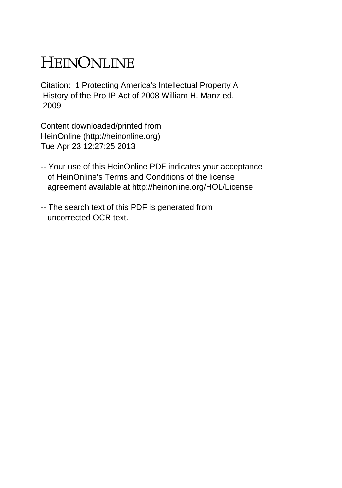## HEINONLINE

Citation: 1 Protecting America's Intellectual Property A History of the Pro IP Act of 2008 William H. Manz ed. 2009

Content downloaded/printed from HeinOnline (http://heinonline.org) Tue Apr 23 12:27:25 2013

- -- Your use of this HeinOnline PDF indicates your acceptance of HeinOnline's Terms and Conditions of the license agreement available at http://heinonline.org/HOL/License
- -- The search text of this PDF is generated from uncorrected OCR text.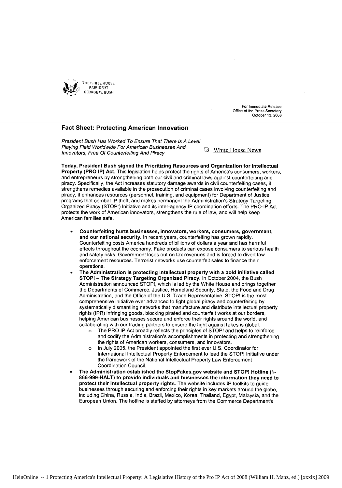

For Immediate Release Office of the Press Secretary October **13, 2008**

## **Fact Sheet: Protecting American Innovation**

President Bush Has Worked To Ensure That There Is A Level Playing Field Worldwide For American Businesses And **Fig. 1986** White House News Innovators, Free Of Counterfeiting And Piracy

Today, President Bush signed the Prioritizing Resources and Organization for Intellectual Property (PRO IP) Act. This legislation helps protect the rights of America's consumers, workers, and entrepreneurs by strengthening both our civil and criminal laws against counterfeiting and piracy. Specifically, the Act increases statutory damage awards in civil counterfeiting cases, it strengthens remedies available in the prosecution of criminal cases involving counterfeiting and piracy, it enhances resources (personnel, training, and equipment) for Department of Justice programs that combat IP theft, and makes permanent the Administration's Strategy Targeting Organized Piracy (STOP!) Initiative and its inter-agency IP coordination efforts. The PRO-IP Act protects the work of American innovators, strengthens the rule of law, and will help keep American families safe.

- **"** Counterfeiting hurts businesses, innovators, workers, consumers, government, and our national security. In recent years, counterfeiting has grown rapidly. Counterfeiting costs America hundreds of billions of dollars a year and has harmful effects throughout the economy. Fake products can expose consumers to serious health and safety risks. Government loses out on tax revenues and is forced to divert law enforcement resources. Terrorist networks use counterfeit sales to finance their operations.
- **"** The Administration is protecting intellectual property with a bold initiative called **STOP!** - The Strategy Targeting Organized Piracy. In October 2004, the Bush Administration announced STOP!, which is led by the White House and brings together the Departments of Commerce, Justice, Homeland Security, State, the Food and Drug Administration, and the Office of the U.S. Trade Representative. STOP! is the most comprehensive initiative ever advanced to fight global piracy and counterfeiting by systematically dismantling networks that manufacture and distribute intellectual property rights (IPR) infringing goods, blocking pirated and counterfeit works at our borders, helping American businesses secure and enforce their rights around the world, and collaborating with our trading partners to ensure the fight against fakes is global.
	- o The PRO IP Act broadly reflects the principles of STOP! and helps to reinforce and codify the Administration's accomplishments in protecting and strengthening the rights of American workers, consumers, and innovators.
	- o In July 2005, the President appointed the first ever U.S. Coordinator for International Intellectual Property Enforcement to lead the STOP! Initiative under the framework of the National Intellectual Property Law Enforcement Coordination Council.
- \* The Administration established the StopFakes.gov website and STOP! Hotline **(1-** 866-999-HALT) to provide individuals and businesses the information they need to protect their intellectual property rights. The website includes IP toolkits to guide businesses through securing and enforcing their rights in key markets around the globe, including China, Russia, India, Brazil, Mexico, Korea, Thailand, Egypt, Malaysia, and the European Union. The hotline is staffed by attorneys from the Commerce Department's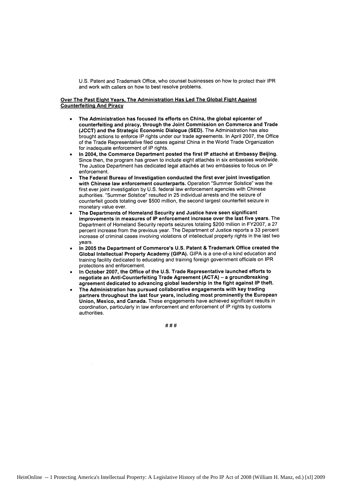U.S. Patent and Trademark Office, who counsel businesses on how to protect their IPR and work with callers on how to best resolve problems.

## Over The Past Eight Years, The Administration Has Led The Global Fight Against Counterfeiting And Piracy

- **"** The Administration has focused its efforts on China, the global epicenter of counterfeiting and piracy, through the Joint Commission on Commerce and Trade **(JCCT)** and the Strategic Economic Dialogue **(SED).** The Administration has also brought actions to enforce **IP** rights under our trade agreements. In April **2007,** the Office of the Trade Representative filed cases against China in the World Trade Organization for inadequate enforcement of **IP** rights.
- **"** In 2004, the Commerce Department posted the first **IP** attache at Embassy Beijing. Since then, the program has grown to include eight attachés in six embassies worldwide. The Justice Department has dedicated legal attaches at two embassies to focus on **IP** enforcement.
- The Federal Bureau of Investigation conducted the first ever joint investigation with Chinese law enforcement counterparts. Operation "Summer Solstice" was the first ever joint investigation **by U.S.** federal law enforcement agencies with Chinese authorities. "Summer Solstice" resulted in **25** individual arrests and the seizure of counterfeit goods totaling over **\$500** million, the second largest counterfeit seizure in monetary value ever.
- **"** The Departments of Homeland Security and Justice have seen significant improvements in measures of **IP** enforcement increase over the last five years. The Department of Homeland Security reports seizures totaling \$200 million in FY2007, a **27** percent increase from the previous year. The Department of Justice reports a **33** percent increase of criminal cases involving violations of intellectual property rights in the last two years.
- \* In **2005** the Department of Commerce's **U.S.** Patent **&** Trademark **Office** created the Global Intellectual Property Academy **(GIPA). GIPA** is a one-of-a kind education and training facility dedicated to educating and training foreign government officials on **IPR** protections and enforcement.
- **"** In October **2007,** the Office of the **U.S.** Trade Representative launched efforts to negotiate an Anti-Counterfeiting Trade Agreement **(ACTA) -** a groundbreaking agreement dedicated to advancing global leadership in the fight against IP theft.
- The Administration has pursued collaborative engagements with key trading partners throughout the last four years, including most prominently the European Union, Mexico, and Canada. These engagements have achieved significant results in coordination, particularly in law enforcement and enforcement of **IP** rights **by** customs authorities.

 $# # #$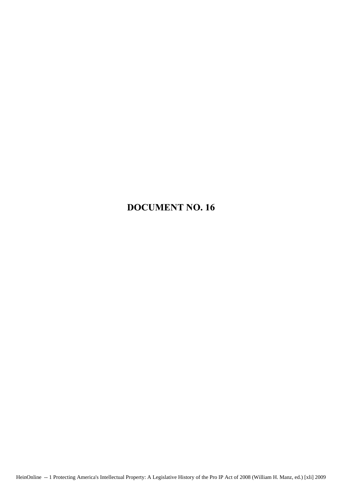## DOCUMENT **NO.16**